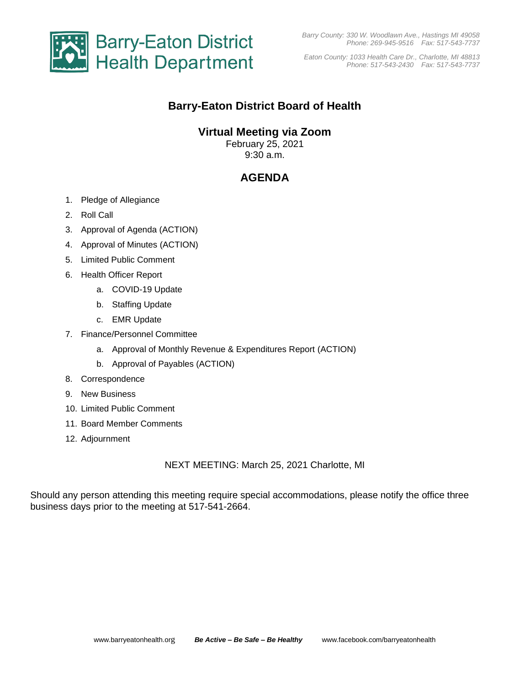

*Eaton County: 1033 Health Care Dr., Charlotte, MI 48813 Phone: 517-543-2430 Fax: 517-543-7737*

## **Barry-Eaton District Board of Health**

### **Virtual Meeting via Zoom**

February 25, 2021 9:30 a.m.

# **AGENDA**

- 1. Pledge of Allegiance
- 2. Roll Call
- 3. Approval of Agenda (ACTION)
- 4. Approval of Minutes (ACTION)
- 5. Limited Public Comment
- 6. Health Officer Report
	- a. COVID-19 Update
	- b. Staffing Update
	- c. EMR Update
- 7. Finance/Personnel Committee
	- a. Approval of Monthly Revenue & Expenditures Report (ACTION)
	- b. Approval of Payables (ACTION)
- 8. Correspondence
- 9. New Business
- 10. Limited Public Comment
- 11. Board Member Comments
- 12. Adjournment

NEXT MEETING: March 25, 2021 Charlotte, MI

Should any person attending this meeting require special accommodations, please notify the office three business days prior to the meeting at 517-541-2664.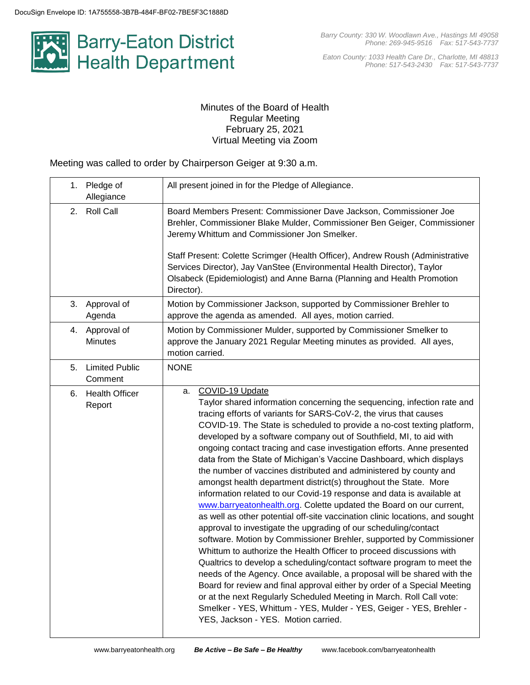

*Eaton County: 1033 Health Care Dr., Charlotte, MI 48813 Phone: 517-543-2430 Fax: 517-543-7737*

#### Minutes of the Board of Health Regular Meeting February 25, 2021 Virtual Meeting via Zoom

Meeting was called to order by Chairperson Geiger at 9:30 a.m.

|    | 1. Pledge of<br>Allegiance       | All present joined in for the Pledge of Allegiance.                                                                                                                                                                                                                                                                                                                                                                                                                                                                                                                                                                                                                                                                                                                                                                                                                                                                                                                                                                                                                                                                                                                                                                                                                                                                                                                                                                                                                                      |
|----|----------------------------------|------------------------------------------------------------------------------------------------------------------------------------------------------------------------------------------------------------------------------------------------------------------------------------------------------------------------------------------------------------------------------------------------------------------------------------------------------------------------------------------------------------------------------------------------------------------------------------------------------------------------------------------------------------------------------------------------------------------------------------------------------------------------------------------------------------------------------------------------------------------------------------------------------------------------------------------------------------------------------------------------------------------------------------------------------------------------------------------------------------------------------------------------------------------------------------------------------------------------------------------------------------------------------------------------------------------------------------------------------------------------------------------------------------------------------------------------------------------------------------------|
|    | 2. Roll Call                     | Board Members Present: Commissioner Dave Jackson, Commissioner Joe<br>Brehler, Commissioner Blake Mulder, Commissioner Ben Geiger, Commissioner<br>Jeremy Whittum and Commissioner Jon Smelker.<br>Staff Present: Colette Scrimger (Health Officer), Andrew Roush (Administrative<br>Services Director), Jay VanStee (Environmental Health Director), Taylor<br>Olsabeck (Epidemiologist) and Anne Barna (Planning and Health Promotion<br>Director).                                                                                                                                                                                                                                                                                                                                                                                                                                                                                                                                                                                                                                                                                                                                                                                                                                                                                                                                                                                                                                    |
| 3. | Approval of<br>Agenda            | Motion by Commissioner Jackson, supported by Commissioner Brehler to<br>approve the agenda as amended. All ayes, motion carried.                                                                                                                                                                                                                                                                                                                                                                                                                                                                                                                                                                                                                                                                                                                                                                                                                                                                                                                                                                                                                                                                                                                                                                                                                                                                                                                                                         |
| 4. | Approval of<br><b>Minutes</b>    | Motion by Commissioner Mulder, supported by Commissioner Smelker to<br>approve the January 2021 Regular Meeting minutes as provided. All ayes,<br>motion carried.                                                                                                                                                                                                                                                                                                                                                                                                                                                                                                                                                                                                                                                                                                                                                                                                                                                                                                                                                                                                                                                                                                                                                                                                                                                                                                                        |
| 5. | <b>Limited Public</b><br>Comment | <b>NONE</b>                                                                                                                                                                                                                                                                                                                                                                                                                                                                                                                                                                                                                                                                                                                                                                                                                                                                                                                                                                                                                                                                                                                                                                                                                                                                                                                                                                                                                                                                              |
| 6. | <b>Health Officer</b><br>Report  | COVID-19 Update<br>а.<br>Taylor shared information concerning the sequencing, infection rate and<br>tracing efforts of variants for SARS-CoV-2, the virus that causes<br>COVID-19. The State is scheduled to provide a no-cost texting platform,<br>developed by a software company out of Southfield, MI, to aid with<br>ongoing contact tracing and case investigation efforts. Anne presented<br>data from the State of Michigan's Vaccine Dashboard, which displays<br>the number of vaccines distributed and administered by county and<br>amongst health department district(s) throughout the State. More<br>information related to our Covid-19 response and data is available at<br>www.barryeatonhealth.org. Colette updated the Board on our current,<br>as well as other potential off-site vaccination clinic locations, and sought<br>approval to investigate the upgrading of our scheduling/contact<br>software. Motion by Commissioner Brehler, supported by Commissioner<br>Whittum to authorize the Health Officer to proceed discussions with<br>Qualtrics to develop a scheduling/contact software program to meet the<br>needs of the Agency. Once available, a proposal will be shared with the<br>Board for review and final approval either by order of a Special Meeting<br>or at the next Regularly Scheduled Meeting in March. Roll Call vote:<br>Smelker - YES, Whittum - YES, Mulder - YES, Geiger - YES, Brehler -<br>YES, Jackson - YES. Motion carried. |